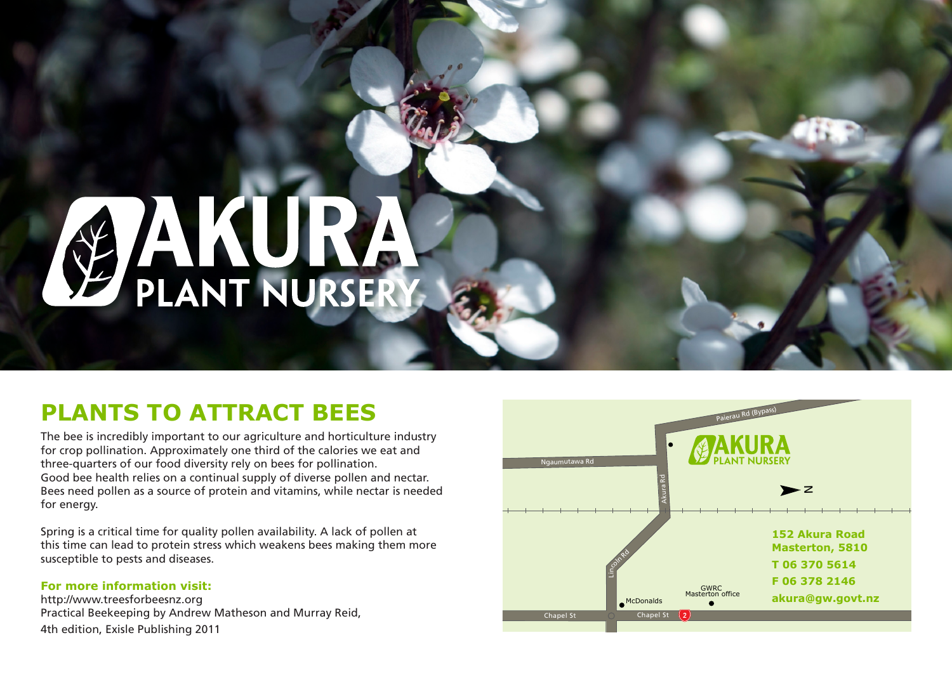# AMT NURSERY

#### **PLANTS TO ATTRACT BEES**

The bee is incredibly important to our agriculture and horticulture industry for crop pollination. Approximately one third of the calories we eat and three-quarters of our food diversity rely on bees for pollination. Good bee health relies on a continual supply of diverse pollen and nectar. Bees need pollen as a source of protein and vitamins, while nectar is needed for energy.

Spring is a critical time for quality pollen availability. A lack of pollen at this time can lead to protein stress which weakens bees making them more susceptible to pests and diseases.

#### **For more information visit:**

http://www.treesforbeesnz.org Practical Beekeeping by Andrew Matheson and Murray Reid, 4th edition, Exisle Publishing 2011

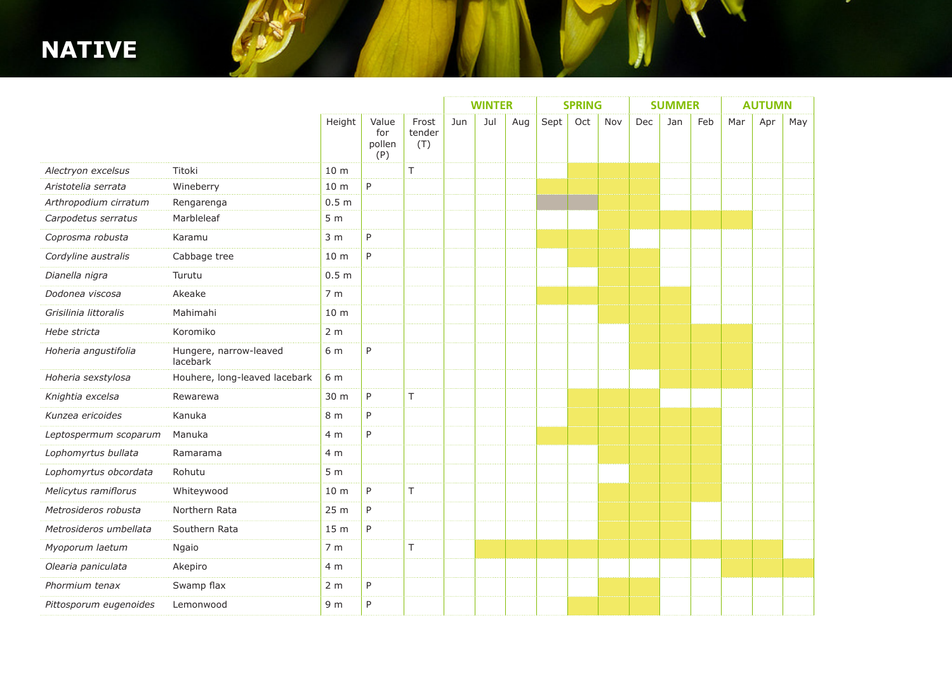#### **NATIVE**

|                        |                                    |                  |                               |                        | <b>WINTER</b> |     |     | <b>SPRING</b> |     |     | <b>SUMMER</b> |     |     | <b>AUTUMN</b> |     |     |
|------------------------|------------------------------------|------------------|-------------------------------|------------------------|---------------|-----|-----|---------------|-----|-----|---------------|-----|-----|---------------|-----|-----|
|                        |                                    | Height           | Value<br>for<br>pollen<br>(P) | Frost<br>tender<br>(T) | Jun           | Jul | Aug | Sept          | Oct | Nov | Dec           | Jan | Feb | Mar           | Apr | May |
| Alectryon excelsus     | Titoki                             | 10 <sub>m</sub>  |                               | T.                     |               |     |     |               |     |     |               |     |     |               |     |     |
| Aristotelia serrata    | Wineberry                          | 10 <sub>m</sub>  | P                             |                        |               |     |     |               |     |     |               |     |     |               |     |     |
| Arthropodium cirratum  | Rengarenga                         | 0.5 <sub>m</sub> |                               |                        |               |     |     |               |     |     |               |     |     |               |     |     |
| Carpodetus serratus    | Marbleleaf                         | 5 <sub>m</sub>   |                               |                        |               |     |     |               |     |     |               |     |     |               |     |     |
| Coprosma robusta       | Karamu                             | 3 <sub>m</sub>   | P                             |                        |               |     |     |               |     |     |               |     |     |               |     |     |
| Cordyline australis    | Cabbage tree                       | 10 m             | P                             |                        |               |     |     |               |     |     |               |     |     |               |     |     |
| Dianella nigra         | Turutu                             | 0.5 <sub>m</sub> |                               |                        |               |     |     |               |     |     |               |     |     |               |     |     |
| Dodonea viscosa        | Akeake                             | 7 <sub>m</sub>   |                               |                        |               |     |     |               |     |     |               |     |     |               |     |     |
| Grisilinia littoralis  | Mahimahi                           | 10 <sub>m</sub>  |                               |                        |               |     |     |               |     |     |               |     |     |               |     |     |
| Hebe stricta           | Koromiko                           | 2 <sub>m</sub>   |                               |                        |               |     |     |               |     |     |               |     |     |               |     |     |
| Hoheria angustifolia   | Hungere, narrow-leaved<br>lacebark | 6 m              | P                             |                        |               |     |     |               |     |     |               |     |     |               |     |     |
| Hoheria sexstylosa     | Houhere, long-leaved lacebark      | 6 m              |                               |                        |               |     |     |               |     |     |               |     |     |               |     |     |
| Knightia excelsa       | Rewarewa                           | 30 m             | P                             | T.                     |               |     |     |               |     |     |               |     |     |               |     |     |
| Kunzea ericoides       | Kanuka                             | 8 <sub>m</sub>   | P                             |                        |               |     |     |               |     |     |               |     |     |               |     |     |
| Leptospermum scoparum  | Manuka                             | 4 m              | P                             |                        |               |     |     |               |     |     |               |     |     |               |     |     |
| Lophomyrtus bullata    | Ramarama                           | 4 <sub>m</sub>   |                               |                        |               |     |     |               |     |     |               |     |     |               |     |     |
| Lophomyrtus obcordata  | Rohutu                             | 5 <sub>m</sub>   |                               |                        |               |     |     |               |     |     |               |     |     |               |     |     |
| Melicytus ramiflorus   | Whiteywood                         | 10 <sub>m</sub>  | P                             | T.                     |               |     |     |               |     |     |               |     |     |               |     |     |
| Metrosideros robusta   | Northern Rata                      | 25 m             | P                             |                        |               |     |     |               |     |     |               |     |     |               |     |     |
| Metrosideros umbellata | Southern Rata                      | 15 m             | P                             |                        |               |     |     |               |     |     |               |     |     |               |     |     |
| Myoporum laetum        | Ngaio                              | 7 <sub>m</sub>   |                               | T.                     |               |     |     |               |     |     |               |     |     |               |     |     |
| Olearia paniculata     | Akepiro                            | 4 m              |                               |                        |               |     |     |               |     |     |               |     |     |               |     |     |
| Phormium tenax         | Swamp flax                         | 2 <sub>m</sub>   | P                             |                        |               |     |     |               |     |     |               |     |     |               |     |     |
| Pittosporum eugenoides | Lemonwood                          | 9 <sub>m</sub>   | P                             |                        |               |     |     |               |     |     |               |     |     |               |     |     |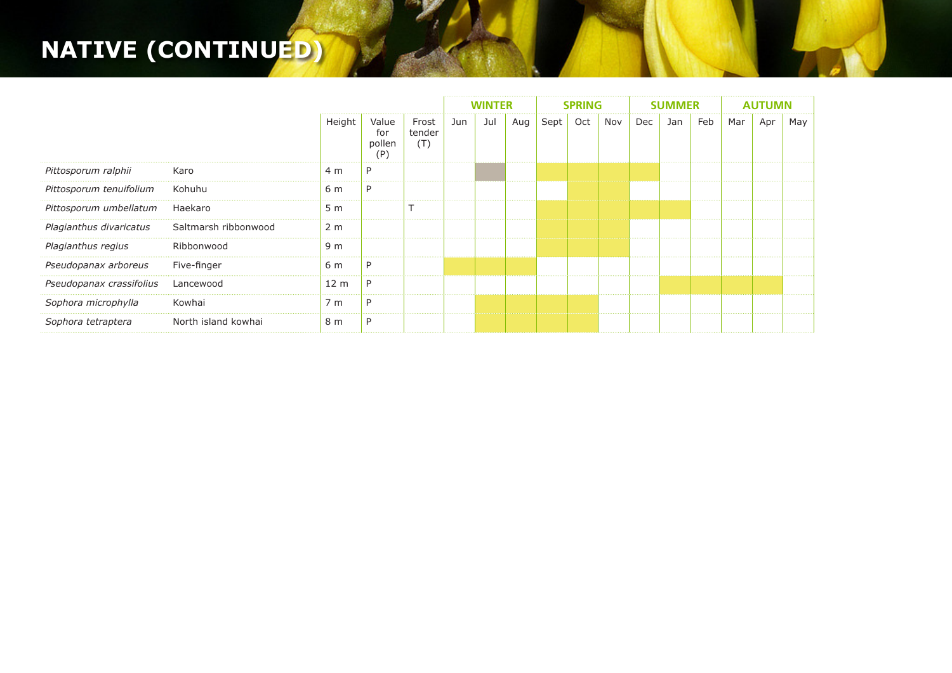## **NATIVE (CONTINUED)**

|                          |                      |                 |                               |                        | <b>WINTER</b> |     |     | <b>SPRING</b> |     |     | <b>SUMMER</b> |     |     | <b>AUTUMN</b> |     |     |
|--------------------------|----------------------|-----------------|-------------------------------|------------------------|---------------|-----|-----|---------------|-----|-----|---------------|-----|-----|---------------|-----|-----|
|                          |                      | Height          | Value<br>for<br>pollen<br>(P) | Frost<br>tender<br>(T) | Jun           | Jul | Aug | Sept          | Oct | Nov | Dec           | Jan | Feb | Mar           | Apr | May |
| Pittosporum ralphii      | Karo                 | 4 m             | P                             |                        |               |     |     |               |     |     |               |     |     |               |     |     |
| Pittosporum tenuifolium  | Kohuhu               | 6 m             | P                             |                        |               |     |     |               |     |     |               |     |     |               |     |     |
| Pittosporum umbellatum   | Haekaro              | 5 <sub>m</sub>  |                               |                        |               |     |     |               |     |     |               |     |     |               |     |     |
| Plagianthus divaricatus  | Saltmarsh ribbonwood | 2 <sub>m</sub>  |                               |                        |               |     |     |               |     |     |               |     |     |               |     |     |
| Plagianthus regius       | Ribbonwood           | 9 m             |                               |                        |               |     |     |               |     |     |               |     |     |               |     |     |
| Pseudopanax arboreus     | Five-finger          | 6 m             | P                             |                        |               |     |     |               |     |     |               |     |     |               |     |     |
| Pseudopanax crassifolius | Lancewood            | 12 <sub>m</sub> | P                             |                        |               |     |     |               |     |     |               |     |     |               |     |     |
| Sophora microphylla      | Kowhai               | 7 m             | P                             |                        |               |     |     |               |     |     |               |     |     |               |     |     |
| Sophora tetraptera       | North island kowhai  | 8 m             | P                             |                        |               |     |     |               |     |     |               |     |     |               |     |     |